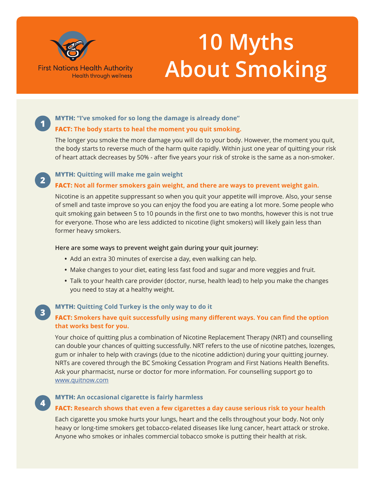

**1**

**2**

**3**

**4**

# **10 Myths About Smoking**

## **MYTH: "I've smoked for so long the damage is already done"**

## **FACT: The body starts to heal the moment you quit smoking.**

The longer you smoke the more damage you will do to your body. However, the moment you quit, the body starts to reverse much of the harm quite rapidly. Within just one year of quitting your risk of heart attack decreases by 50% - after five years your risk of stroke is the same as a non-smoker.

## **MYTH: Quitting will make me gain weight**

## **FACT: Not all former smokers gain weight, and there are ways to prevent weight gain.**

Nicotine is an appetite suppressant so when you quit your appetite will improve. Also, your sense of smell and taste improve so you can enjoy the food you are eating a lot more. Some people who quit smoking gain between 5 to 10 pounds in the first one to two months, however this is not true for everyone. Those who are less addicted to nicotine (light smokers) will likely gain less than former heavy smokers.

#### **Here are some ways to prevent weight gain during your quit journey:**

- **•** Add an extra 30 minutes of exercise a day, even walking can help.
- **•** Make changes to your diet, eating less fast food and sugar and more veggies and fruit.
- **•** Talk to your health care provider (doctor, nurse, health lead) to help you make the changes you need to stay at a healthy weight.

## **MYTH: Quitting Cold Turkey is the only way to do it**

## **FACT: Smokers have quit successfully using many different ways. You can find the option that works best for you.**

Your choice of quitting plus a combination of Nicotine Replacement Therapy (NRT) and counselling can double your chances of quitting successfully. NRT refers to the use of nicotine patches, lozenges, gum or inhaler to help with cravings (due to the nicotine addiction) during your quitting journey. NRTs are covered through the BC Smoking Cessation Program and First Nations Health Benefits. Ask your pharmacist, nurse or doctor for more information. For counselling support go to www.quitnow.com

## **MYTH: An occasional cigarette is fairly harmless**

## **FACT: Research shows that even a few cigarettes a day cause serious risk to your health**

Each cigarette you smoke hurts your lungs, heart and the cells throughout your body. Not only heavy or long-time smokers get tobacco-related diseases like lung cancer, heart attack or stroke. Anyone who smokes or inhales commercial tobacco smoke is putting their health at risk.